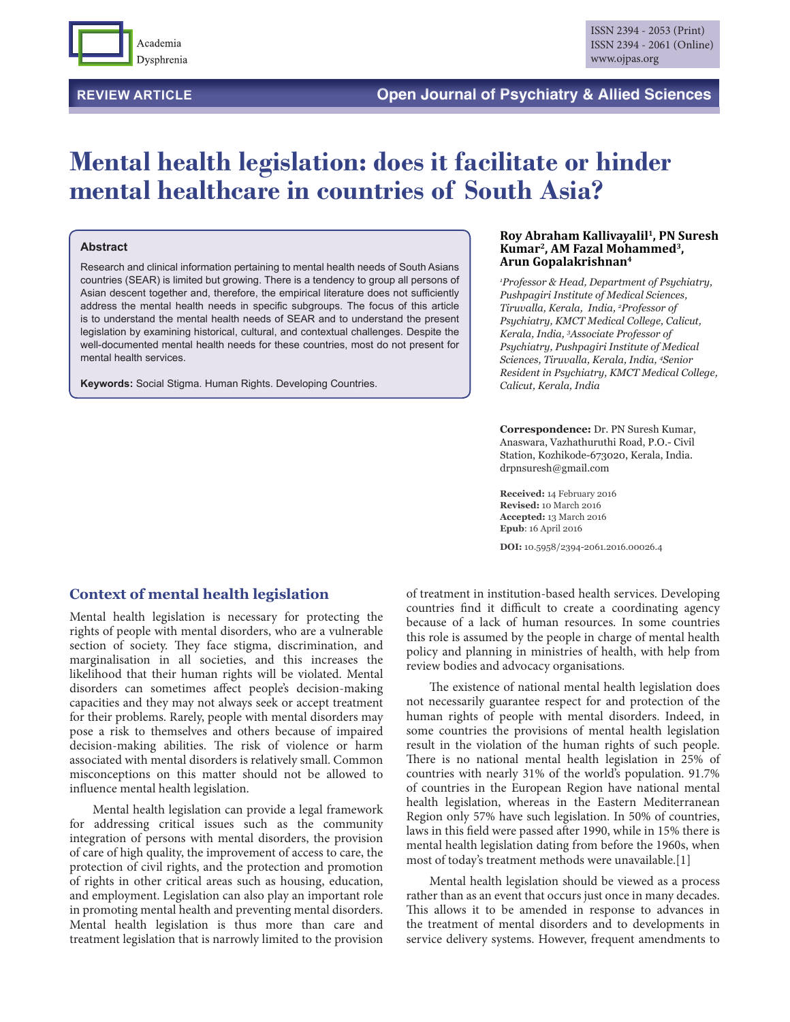

# **Mental health legislation: does it facilitate or hinder mental healthcare in countries of South Asia?**

#### **Abstract**

Research and clinical information pertaining to mental health needs of South Asians countries (SEAR) is limited but growing. There is a tendency to group all persons of Asian descent together and, therefore, the empirical literature does not sufficiently address the mental health needs in specific subgroups. The focus of this article is to understand the mental health needs of SEAR and to understand the present legislation by examining historical, cultural, and contextual challenges. Despite the well-documented mental health needs for these countries, most do not present for mental health services.

**Keywords:** Social Stigma. Human Rights. Developing Countries.

#### **Roy Abraham Kallivayalil1, PN Suresh Kumar2, AM Fazal Mohammed3, Arun Gopalakrishnan4**

*1 Professor & Head, Department of Psychiatry, Pushpagiri Institute of Medical Sciences, Tiruvalla, Kerala, India, 2 Professor of Psychiatry, KMCT Medical College, Calicut, Kerala, India, 3 Associate Professor of Psychiatry, Pushpagiri Institute of Medical Sciences, Tiruvalla, Kerala, India, 4 Senior Resident in Psychiatry, KMCT Medical College, Calicut, Kerala, India*

**Correspondence:** Dr. PN Suresh Kumar, Anaswara, Vazhathuruthi Road, P.O.- Civil Station, Kozhikode-673020, Kerala, India. drpnsuresh@gmail.com

**Received:** 14 February 2016 **Revised:** 10 March 2016 **Accepted:** 13 March 2016 **Epub**: 16 April 2016

**DOI:** 10.5958/2394-2061.2016.00026.4

#### **Context of mental health legislation**

Mental health legislation is necessary for protecting the rights of people with mental disorders, who are a vulnerable section of society. They face stigma, discrimination, and marginalisation in all societies, and this increases the likelihood that their human rights will be violated. Mental disorders can sometimes affect people's decision-making capacities and they may not always seek or accept treatment for their problems. Rarely, people with mental disorders may pose a risk to themselves and others because of impaired decision-making abilities. The risk of violence or harm associated with mental disorders is relatively small. Common misconceptions on this matter should not be allowed to influence mental health legislation.

Mental health legislation can provide a legal framework for addressing critical issues such as the community integration of persons with mental disorders, the provision of care of high quality, the improvement of access to care, the protection of civil rights, and the protection and promotion of rights in other critical areas such as housing, education, and employment. Legislation can also play an important role in promoting mental health and preventing mental disorders. Mental health legislation is thus more than care and treatment legislation that is narrowly limited to the provision

of treatment in institution-based health services. Developing countries find it difficult to create a coordinating agency because of a lack of human resources. In some countries this role is assumed by the people in charge of mental health policy and planning in ministries of health, with help from review bodies and advocacy organisations.

The existence of national mental health legislation does not necessarily guarantee respect for and protection of the human rights of people with mental disorders. Indeed, in some countries the provisions of mental health legislation result in the violation of the human rights of such people. There is no national mental health legislation in 25% of countries with nearly 31% of the world's population. 91.7% of countries in the European Region have national mental health legislation, whereas in the Eastern Mediterranean Region only 57% have such legislation. In 50% of countries, laws in this field were passed after 1990, while in 15% there is mental health legislation dating from before the 1960s, when most of today's treatment methods were unavailable.[1]

Mental health legislation should be viewed as a process rather than as an event that occurs just once in many decades. This allows it to be amended in response to advances in the treatment of mental disorders and to developments in service delivery systems. However, frequent amendments to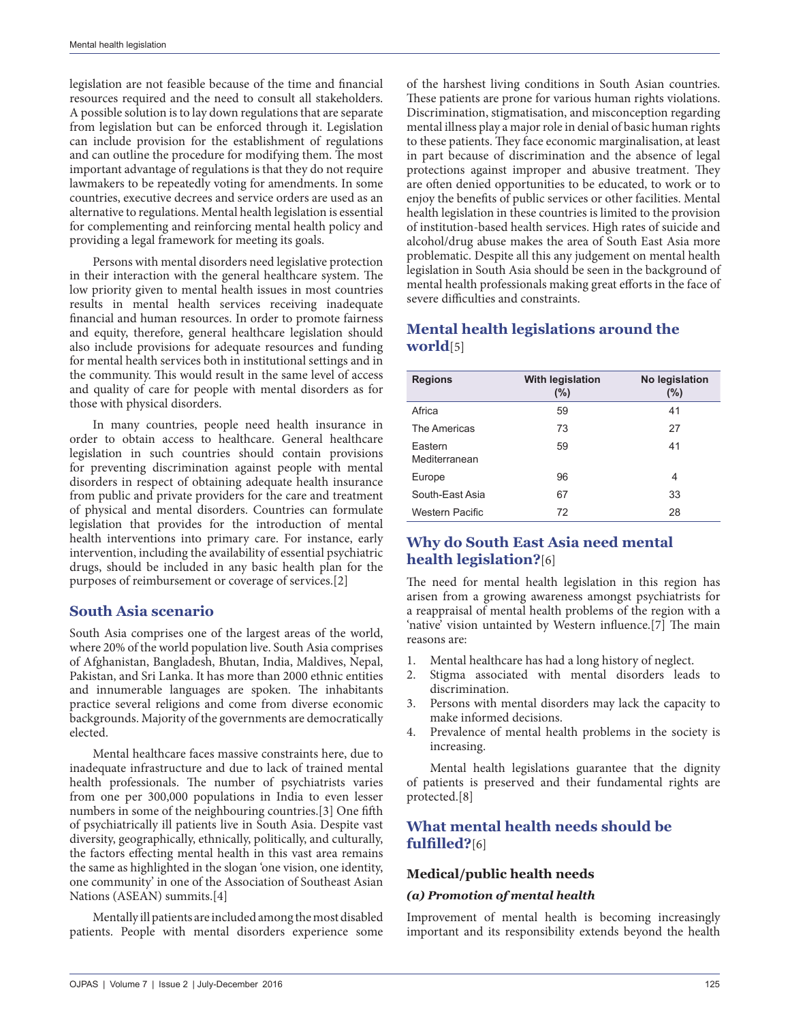legislation are not feasible because of the time and financial resources required and the need to consult all stakeholders. A possible solution is to lay down regulations that are separate from legislation but can be enforced through it. Legislation can include provision for the establishment of regulations and can outline the procedure for modifying them. The most important advantage of regulations is that they do not require lawmakers to be repeatedly voting for amendments. In some countries, executive decrees and service orders are used as an alternative to regulations. Mental health legislation is essential for complementing and reinforcing mental health policy and providing a legal framework for meeting its goals.

Persons with mental disorders need legislative protection in their interaction with the general healthcare system. The low priority given to mental health issues in most countries results in mental health services receiving inadequate financial and human resources. In order to promote fairness and equity, therefore, general healthcare legislation should also include provisions for adequate resources and funding for mental health services both in institutional settings and in the community. This would result in the same level of access and quality of care for people with mental disorders as for those with physical disorders.

In many countries, people need health insurance in order to obtain access to healthcare. General healthcare legislation in such countries should contain provisions for preventing discrimination against people with mental disorders in respect of obtaining adequate health insurance from public and private providers for the care and treatment of physical and mental disorders. Countries can formulate legislation that provides for the introduction of mental health interventions into primary care. For instance, early intervention, including the availability of essential psychiatric drugs, should be included in any basic health plan for the purposes of reimbursement or coverage of services.[2]

## **South Asia scenario**

South Asia comprises one of the largest areas of the world, where 20% of the world population live. South Asia comprises of Afghanistan, Bangladesh, Bhutan, India, Maldives, Nepal, Pakistan, and Sri Lanka. It has more than 2000 ethnic entities and innumerable languages are spoken. The inhabitants practice several religions and come from diverse economic backgrounds. Majority of the governments are democratically elected.

Mental healthcare faces massive constraints here, due to inadequate infrastructure and due to lack of trained mental health professionals. The number of psychiatrists varies from one per 300,000 populations in India to even lesser numbers in some of the neighbouring countries.[3] One fifth of psychiatrically ill patients live in South Asia. Despite vast diversity, geographically, ethnically, politically, and culturally, the factors effecting mental health in this vast area remains the same as highlighted in the slogan 'one vision, one identity, one community' in one of the Association of Southeast Asian Nations (ASEAN) summits.[4]

Mentally ill patients are included among the most disabled patients. People with mental disorders experience some

of the harshest living conditions in South Asian countries. These patients are prone for various human rights violations. Discrimination, stigmatisation, and misconception regarding mental illness play a major role in denial of basic human rights to these patients. They face economic marginalisation, at least in part because of discrimination and the absence of legal protections against improper and abusive treatment. They are often denied opportunities to be educated, to work or to enjoy the benefits of public services or other facilities. Mental health legislation in these countries is limited to the provision of institution-based health services. High rates of suicide and alcohol/drug abuse makes the area of South East Asia more problematic. Despite all this any judgement on mental health legislation in South Asia should be seen in the background of mental health professionals making great efforts in the face of severe difficulties and constraints.

# **Mental health legislations around the world**[5]

| <b>Regions</b>           | With legislation<br>$(\%)$ | No legislation<br>$(\%)$ |
|--------------------------|----------------------------|--------------------------|
|                          |                            |                          |
| Africa                   | 59                         | 41                       |
| The Americas             | 73                         | 27                       |
| Eastern<br>Mediterranean | 59                         | 41                       |
| Europe                   | 96                         | 4                        |
| South-East Asia          | 67                         | 33                       |
| Western Pacific          | 72                         | 28                       |

# **Why do South East Asia need mental health legislation?**[6]

The need for mental health legislation in this region has arisen from a growing awareness amongst psychiatrists for a reappraisal of mental health problems of the region with a 'native' vision untainted by Western influence.[7] The main reasons are:

- 1. Mental healthcare has had a long history of neglect.
- 2. Stigma associated with mental disorders leads to discrimination.
- 3. Persons with mental disorders may lack the capacity to make informed decisions.
- 4. Prevalence of mental health problems in the society is increasing.

Mental health legislations guarantee that the dignity of patients is preserved and their fundamental rights are protected.[8]

## **What mental health needs should be fulfilled?**[6]

#### **Medical/public health needs**

#### *(a) Promotion of mental health*

Improvement of mental health is becoming increasingly important and its responsibility extends beyond the health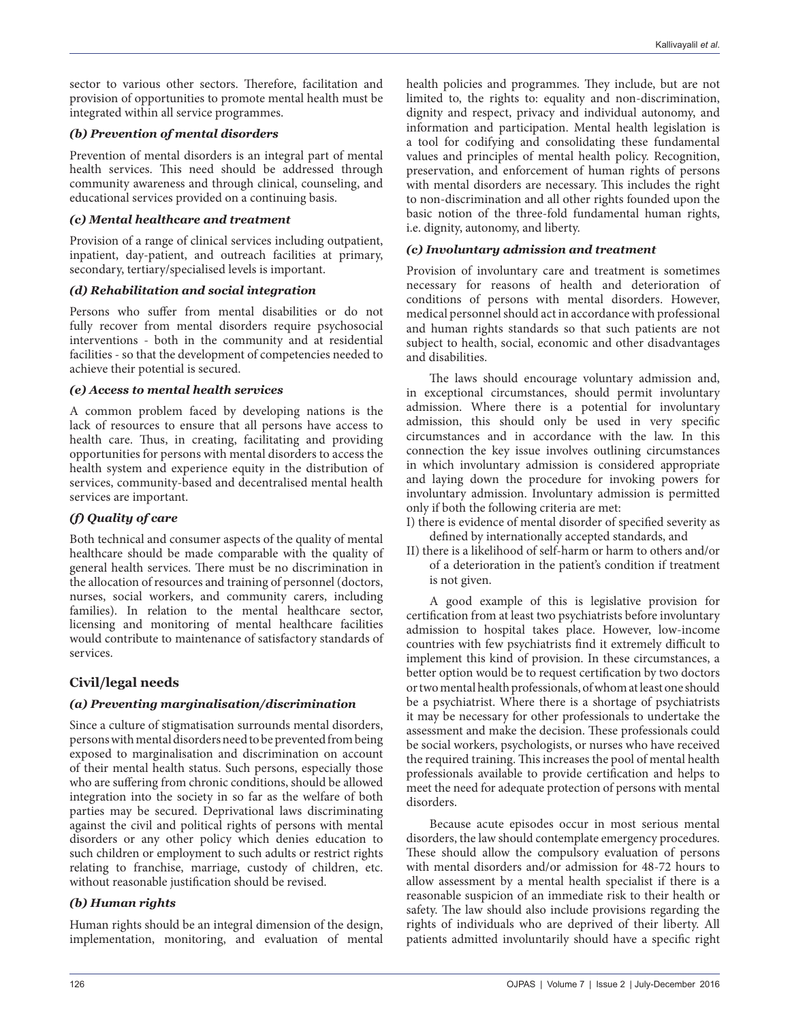sector to various other sectors. Therefore, facilitation and provision of opportunities to promote mental health must be integrated within all service programmes.

#### *(b) Prevention of mental disorders*

Prevention of mental disorders is an integral part of mental health services. This need should be addressed through community awareness and through clinical, counseling, and educational services provided on a continuing basis.

#### *(c) Mental healthcare and treatment*

Provision of a range of clinical services including outpatient, inpatient, day-patient, and outreach facilities at primary, secondary, tertiary/specialised levels is important.

#### *(d) Rehabilitation and social integration*

Persons who suffer from mental disabilities or do not fully recover from mental disorders require psychosocial interventions - both in the community and at residential facilities - so that the development of competencies needed to achieve their potential is secured.

#### *(e) Access to mental health services*

A common problem faced by developing nations is the lack of resources to ensure that all persons have access to health care. Thus, in creating, facilitating and providing opportunities for persons with mental disorders to access the health system and experience equity in the distribution of services, community-based and decentralised mental health services are important.

#### *(f) Quality of care*

Both technical and consumer aspects of the quality of mental healthcare should be made comparable with the quality of general health services. There must be no discrimination in the allocation of resources and training of personnel (doctors, nurses, social workers, and community carers, including families). In relation to the mental healthcare sector, licensing and monitoring of mental healthcare facilities would contribute to maintenance of satisfactory standards of services.

## **Civil/legal needs**

#### *(a) Preventing marginalisation/discrimination*

Since a culture of stigmatisation surrounds mental disorders, persons with mental disorders need to be prevented from being exposed to marginalisation and discrimination on account of their mental health status. Such persons, especially those who are suffering from chronic conditions, should be allowed integration into the society in so far as the welfare of both parties may be secured. Deprivational laws discriminating against the civil and political rights of persons with mental disorders or any other policy which denies education to such children or employment to such adults or restrict rights relating to franchise, marriage, custody of children, etc. without reasonable justification should be revised.

#### *(b) Human rights*

Human rights should be an integral dimension of the design, implementation, monitoring, and evaluation of mental health policies and programmes. They include, but are not limited to, the rights to: equality and non-discrimination, dignity and respect, privacy and individual autonomy, and information and participation. Mental health legislation is a tool for codifying and consolidating these fundamental values and principles of mental health policy. Recognition, preservation, and enforcement of human rights of persons with mental disorders are necessary. This includes the right to non-discrimination and all other rights founded upon the basic notion of the three-fold fundamental human rights, i.e. dignity, autonomy, and liberty.

#### *(c) Involuntary admission and treatment*

Provision of involuntary care and treatment is sometimes necessary for reasons of health and deterioration of conditions of persons with mental disorders. However, medical personnel should act in accordance with professional and human rights standards so that such patients are not subject to health, social, economic and other disadvantages and disabilities.

The laws should encourage voluntary admission and, in exceptional circumstances, should permit involuntary admission. Where there is a potential for involuntary admission, this should only be used in very specific circumstances and in accordance with the law. In this connection the key issue involves outlining circumstances in which involuntary admission is considered appropriate and laying down the procedure for invoking powers for involuntary admission. Involuntary admission is permitted only if both the following criteria are met:

- I) there is evidence of mental disorder of specified severity as defined by internationally accepted standards, and
- II) there is a likelihood of self-harm or harm to others and/or of a deterioration in the patient's condition if treatment is not given.

A good example of this is legislative provision for certification from at least two psychiatrists before involuntary admission to hospital takes place. However, low-income countries with few psychiatrists find it extremely difficult to implement this kind of provision. In these circumstances, a better option would be to request certification by two doctors or two mental health professionals, of whom at least one should be a psychiatrist. Where there is a shortage of psychiatrists it may be necessary for other professionals to undertake the assessment and make the decision. These professionals could be social workers, psychologists, or nurses who have received the required training. This increases the pool of mental health professionals available to provide certification and helps to meet the need for adequate protection of persons with mental disorders.

Because acute episodes occur in most serious mental disorders, the law should contemplate emergency procedures. These should allow the compulsory evaluation of persons with mental disorders and/or admission for 48-72 hours to allow assessment by a mental health specialist if there is a reasonable suspicion of an immediate risk to their health or safety. The law should also include provisions regarding the rights of individuals who are deprived of their liberty. All patients admitted involuntarily should have a specific right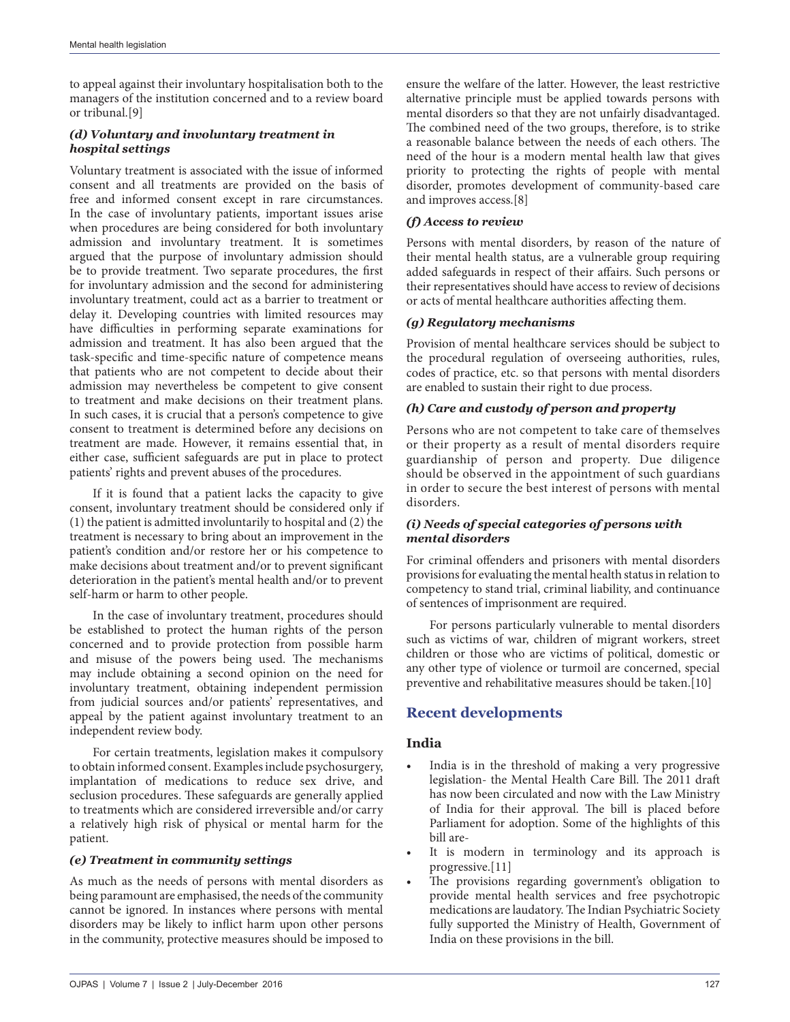to appeal against their involuntary hospitalisation both to the managers of the institution concerned and to a review board or tribunal.[9]

## *(d) Voluntary and involuntary treatment in hospital settings*

Voluntary treatment is associated with the issue of informed consent and all treatments are provided on the basis of free and informed consent except in rare circumstances. In the case of involuntary patients, important issues arise when procedures are being considered for both involuntary admission and involuntary treatment. It is sometimes argued that the purpose of involuntary admission should be to provide treatment. Two separate procedures, the first for involuntary admission and the second for administering involuntary treatment, could act as a barrier to treatment or delay it. Developing countries with limited resources may have difficulties in performing separate examinations for admission and treatment. It has also been argued that the task-specific and time-specific nature of competence means that patients who are not competent to decide about their admission may nevertheless be competent to give consent to treatment and make decisions on their treatment plans. In such cases, it is crucial that a person's competence to give consent to treatment is determined before any decisions on treatment are made. However, it remains essential that, in either case, sufficient safeguards are put in place to protect patients' rights and prevent abuses of the procedures.

If it is found that a patient lacks the capacity to give consent, involuntary treatment should be considered only if (1) the patient is admitted involuntarily to hospital and (2) the treatment is necessary to bring about an improvement in the patient's condition and/or restore her or his competence to make decisions about treatment and/or to prevent significant deterioration in the patient's mental health and/or to prevent self-harm or harm to other people.

In the case of involuntary treatment, procedures should be established to protect the human rights of the person concerned and to provide protection from possible harm and misuse of the powers being used. The mechanisms may include obtaining a second opinion on the need for involuntary treatment, obtaining independent permission from judicial sources and/or patients' representatives, and appeal by the patient against involuntary treatment to an independent review body.

For certain treatments, legislation makes it compulsory to obtain informed consent. Examples include psychosurgery, implantation of medications to reduce sex drive, and seclusion procedures. These safeguards are generally applied to treatments which are considered irreversible and/or carry a relatively high risk of physical or mental harm for the patient.

#### *(e) Treatment in community settings*

As much as the needs of persons with mental disorders as being paramount are emphasised, the needs of the community cannot be ignored. In instances where persons with mental disorders may be likely to inflict harm upon other persons in the community, protective measures should be imposed to ensure the welfare of the latter. However, the least restrictive alternative principle must be applied towards persons with mental disorders so that they are not unfairly disadvantaged. The combined need of the two groups, therefore, is to strike a reasonable balance between the needs of each others. The need of the hour is a modern mental health law that gives priority to protecting the rights of people with mental disorder, promotes development of community-based care and improves access.[8]

## *(f) Access to review*

Persons with mental disorders, by reason of the nature of their mental health status, are a vulnerable group requiring added safeguards in respect of their affairs. Such persons or their representatives should have access to review of decisions or acts of mental healthcare authorities affecting them.

## *(g) Regulatory mechanisms*

Provision of mental healthcare services should be subject to the procedural regulation of overseeing authorities, rules, codes of practice, etc. so that persons with mental disorders are enabled to sustain their right to due process.

## *(h) Care and custody of person and property*

Persons who are not competent to take care of themselves or their property as a result of mental disorders require guardianship of person and property. Due diligence should be observed in the appointment of such guardians in order to secure the best interest of persons with mental disorders.

#### *(i) Needs of special categories of persons with mental disorders*

For criminal offenders and prisoners with mental disorders provisions for evaluating the mental health status in relation to competency to stand trial, criminal liability, and continuance of sentences of imprisonment are required.

For persons particularly vulnerable to mental disorders such as victims of war, children of migrant workers, street children or those who are victims of political, domestic or any other type of violence or turmoil are concerned, special preventive and rehabilitative measures should be taken.[10]

# **Recent developments**

## **India**

- India is in the threshold of making a very progressive legislation- the Mental Health Care Bill. The 2011 draft has now been circulated and now with the Law Ministry of India for their approval. The bill is placed before Parliament for adoption. Some of the highlights of this bill are-
- It is modern in terminology and its approach is progressive.[11]
- The provisions regarding government's obligation to provide mental health services and free psychotropic medications are laudatory. The Indian Psychiatric Society fully supported the Ministry of Health, Government of India on these provisions in the bill.